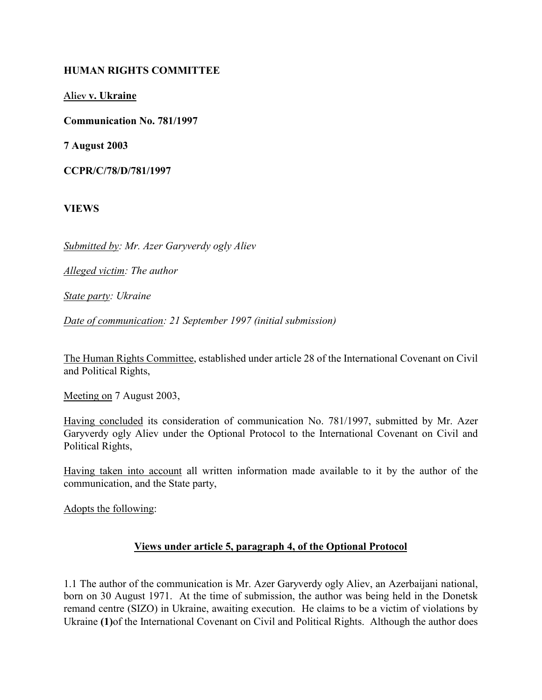## HUMAN RIGHTS COMMITTEE

Aliev v. Ukraine

Communication No. 781/1997

7 August 2003

CCPR/C/78/D/781/1997

VIEWS

Submitted by: Mr. Azer Garyverdy ogly Aliev

Alleged victim: The author

State party: Ukraine

Date of communication: 21 September 1997 (initial submission)

The Human Rights Committee, established under article 28 of the International Covenant on Civil and Political Rights,

Meeting on 7 August 2003,

Having concluded its consideration of communication No. 781/1997, submitted by Mr. Azer Garyverdy ogly Aliev under the Optional Protocol to the International Covenant on Civil and Political Rights,

Having taken into account all written information made available to it by the author of the communication, and the State party,

Adopts the following:

## Views under article 5, paragraph 4, of the Optional Protocol

1.1 The author of the communication is Mr. Azer Garyverdy ogly Aliev, an Azerbaijani national, born on 30 August 1971. At the time of submission, the author was being held in the Donetsk remand centre (SIZO) in Ukraine, awaiting execution. He claims to be a victim of violations by Ukraine (1)of the International Covenant on Civil and Political Rights. Although the author does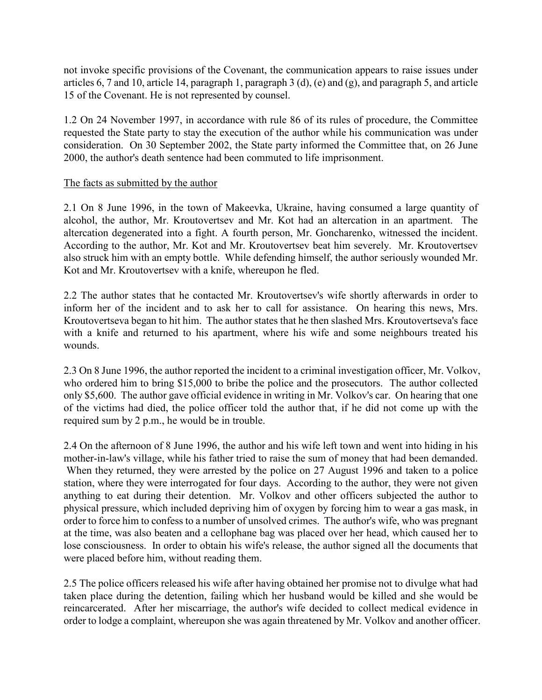not invoke specific provisions of the Covenant, the communication appears to raise issues under articles 6, 7 and 10, article 14, paragraph 1, paragraph 3 (d), (e) and (g), and paragraph 5, and article 15 of the Covenant. He is not represented by counsel.

1.2 On 24 November 1997, in accordance with rule 86 of its rules of procedure, the Committee requested the State party to stay the execution of the author while his communication was under consideration. On 30 September 2002, the State party informed the Committee that, on 26 June 2000, the author's death sentence had been commuted to life imprisonment.

### The facts as submitted by the author

2.1 On 8 June 1996, in the town of Makeevka, Ukraine, having consumed a large quantity of alcohol, the author, Mr. Kroutovertsev and Mr. Kot had an altercation in an apartment. The altercation degenerated into a fight. A fourth person, Mr. Goncharenko, witnessed the incident. According to the author, Mr. Kot and Mr. Kroutovertsev beat him severely. Mr. Kroutovertsev also struck him with an empty bottle. While defending himself, the author seriously wounded Mr. Kot and Mr. Kroutovertsev with a knife, whereupon he fled.

2.2 The author states that he contacted Mr. Kroutovertsev's wife shortly afterwards in order to inform her of the incident and to ask her to call for assistance. On hearing this news, Mrs. Kroutovertseva began to hit him. The author states that he then slashed Mrs. Kroutovertseva's face with a knife and returned to his apartment, where his wife and some neighbours treated his wounds.

2.3 On 8 June 1996, the author reported the incident to a criminal investigation officer, Mr. Volkov, who ordered him to bring \$15,000 to bribe the police and the prosecutors. The author collected only \$5,600. The author gave official evidence in writing in Mr. Volkov's car. On hearing that one of the victims had died, the police officer told the author that, if he did not come up with the required sum by 2 p.m., he would be in trouble.

2.4 On the afternoon of 8 June 1996, the author and his wife left town and went into hiding in his mother-in-law's village, while his father tried to raise the sum of money that had been demanded. When they returned, they were arrested by the police on 27 August 1996 and taken to a police station, where they were interrogated for four days. According to the author, they were not given anything to eat during their detention. Mr. Volkov and other officers subjected the author to physical pressure, which included depriving him of oxygen by forcing him to wear a gas mask, in order to force him to confess to a number of unsolved crimes. The author's wife, who was pregnant at the time, was also beaten and a cellophane bag was placed over her head, which caused her to lose consciousness. In order to obtain his wife's release, the author signed all the documents that were placed before him, without reading them.

2.5 The police officers released his wife after having obtained her promise not to divulge what had taken place during the detention, failing which her husband would be killed and she would be reincarcerated. After her miscarriage, the author's wife decided to collect medical evidence in order to lodge a complaint, whereupon she was again threatened by Mr. Volkov and another officer.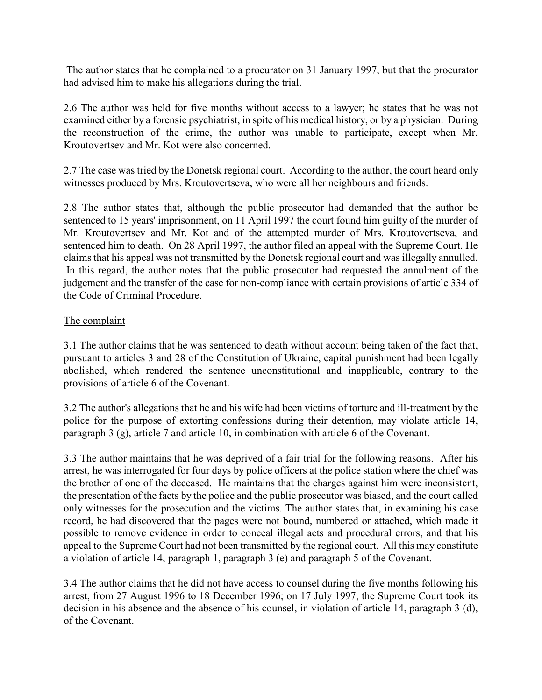The author states that he complained to a procurator on 31 January 1997, but that the procurator had advised him to make his allegations during the trial.

2.6 The author was held for five months without access to a lawyer; he states that he was not examined either by a forensic psychiatrist, in spite of his medical history, or by a physician. During the reconstruction of the crime, the author was unable to participate, except when Mr. Kroutovertsev and Mr. Kot were also concerned.

2.7 The case was tried by the Donetsk regional court. According to the author, the court heard only witnesses produced by Mrs. Kroutovertseva, who were all her neighbours and friends.

2.8 The author states that, although the public prosecutor had demanded that the author be sentenced to 15 years' imprisonment, on 11 April 1997 the court found him guilty of the murder of Mr. Kroutovertsev and Mr. Kot and of the attempted murder of Mrs. Kroutovertseva, and sentenced him to death. On 28 April 1997, the author filed an appeal with the Supreme Court. He claims that his appeal was not transmitted by the Donetsk regional court and was illegally annulled. In this regard, the author notes that the public prosecutor had requested the annulment of the judgement and the transfer of the case for non-compliance with certain provisions of article 334 of the Code of Criminal Procedure.

# The complaint

3.1 The author claims that he was sentenced to death without account being taken of the fact that, pursuant to articles 3 and 28 of the Constitution of Ukraine, capital punishment had been legally abolished, which rendered the sentence unconstitutional and inapplicable, contrary to the provisions of article 6 of the Covenant.

3.2 The author's allegations that he and his wife had been victims of torture and ill-treatment by the police for the purpose of extorting confessions during their detention, may violate article 14, paragraph 3 (g), article 7 and article 10, in combination with article 6 of the Covenant.

3.3 The author maintains that he was deprived of a fair trial for the following reasons. After his arrest, he was interrogated for four days by police officers at the police station where the chief was the brother of one of the deceased. He maintains that the charges against him were inconsistent, the presentation of the facts by the police and the public prosecutor was biased, and the court called only witnesses for the prosecution and the victims. The author states that, in examining his case record, he had discovered that the pages were not bound, numbered or attached, which made it possible to remove evidence in order to conceal illegal acts and procedural errors, and that his appeal to the Supreme Court had not been transmitted by the regional court. All this may constitute a violation of article 14, paragraph 1, paragraph 3 (e) and paragraph 5 of the Covenant.

3.4 The author claims that he did not have access to counsel during the five months following his arrest, from 27 August 1996 to 18 December 1996; on 17 July 1997, the Supreme Court took its decision in his absence and the absence of his counsel, in violation of article 14, paragraph 3 (d), of the Covenant.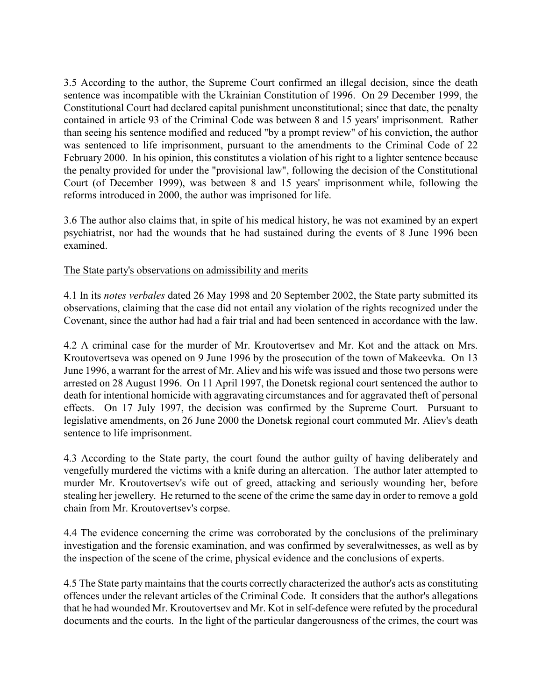3.5 According to the author, the Supreme Court confirmed an illegal decision, since the death sentence was incompatible with the Ukrainian Constitution of 1996. On 29 December 1999, the Constitutional Court had declared capital punishment unconstitutional; since that date, the penalty contained in article 93 of the Criminal Code was between 8 and 15 years' imprisonment. Rather than seeing his sentence modified and reduced "by a prompt review" of his conviction, the author was sentenced to life imprisonment, pursuant to the amendments to the Criminal Code of 22 February 2000. In his opinion, this constitutes a violation of his right to a lighter sentence because the penalty provided for under the "provisional law", following the decision of the Constitutional Court (of December 1999), was between 8 and 15 years' imprisonment while, following the reforms introduced in 2000, the author was imprisoned for life.

3.6 The author also claims that, in spite of his medical history, he was not examined by an expert psychiatrist, nor had the wounds that he had sustained during the events of 8 June 1996 been examined.

### The State party's observations on admissibility and merits

4.1 In its notes verbales dated 26 May 1998 and 20 September 2002, the State party submitted its observations, claiming that the case did not entail any violation of the rights recognized under the Covenant, since the author had had a fair trial and had been sentenced in accordance with the law.

4.2 A criminal case for the murder of Mr. Kroutovertsev and Mr. Kot and the attack on Mrs. Kroutovertseva was opened on 9 June 1996 by the prosecution of the town of Makeevka. On 13 June 1996, a warrant for the arrest of Mr. Aliev and his wife was issued and those two persons were arrested on 28 August 1996. On 11 April 1997, the Donetsk regional court sentenced the author to death for intentional homicide with aggravating circumstances and for aggravated theft of personal effects. On 17 July 1997, the decision was confirmed by the Supreme Court. Pursuant to legislative amendments, on 26 June 2000 the Donetsk regional court commuted Mr. Aliev's death sentence to life imprisonment.

4.3 According to the State party, the court found the author guilty of having deliberately and vengefully murdered the victims with a knife during an altercation. The author later attempted to murder Mr. Kroutovertsev's wife out of greed, attacking and seriously wounding her, before stealing her jewellery. He returned to the scene of the crime the same day in order to remove a gold chain from Mr. Kroutovertsev's corpse.

4.4 The evidence concerning the crime was corroborated by the conclusions of the preliminary investigation and the forensic examination, and was confirmed by severalwitnesses, as well as by the inspection of the scene of the crime, physical evidence and the conclusions of experts.

4.5 The State party maintains that the courts correctly characterized the author's acts as constituting offences under the relevant articles of the Criminal Code. It considers that the author's allegations that he had wounded Mr. Kroutovertsev and Mr. Kot in self-defence were refuted by the procedural documents and the courts. In the light of the particular dangerousness of the crimes, the court was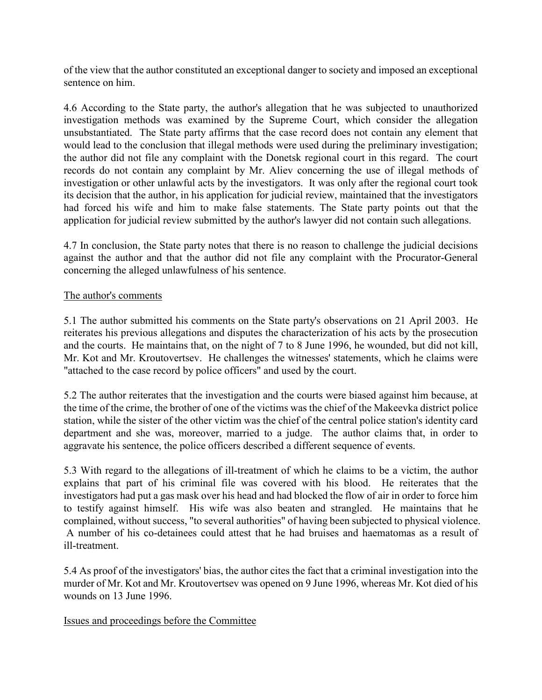of the view that the author constituted an exceptional danger to society and imposed an exceptional sentence on him.

4.6 According to the State party, the author's allegation that he was subjected to unauthorized investigation methods was examined by the Supreme Court, which consider the allegation unsubstantiated. The State party affirms that the case record does not contain any element that would lead to the conclusion that illegal methods were used during the preliminary investigation; the author did not file any complaint with the Donetsk regional court in this regard. The court records do not contain any complaint by Mr. Aliev concerning the use of illegal methods of investigation or other unlawful acts by the investigators. It was only after the regional court took its decision that the author, in his application for judicial review, maintained that the investigators had forced his wife and him to make false statements. The State party points out that the application for judicial review submitted by the author's lawyer did not contain such allegations.

4.7 In conclusion, the State party notes that there is no reason to challenge the judicial decisions against the author and that the author did not file any complaint with the Procurator-General concerning the alleged unlawfulness of his sentence.

### The author's comments

5.1 The author submitted his comments on the State party's observations on 21 April 2003. He reiterates his previous allegations and disputes the characterization of his acts by the prosecution and the courts. He maintains that, on the night of 7 to 8 June 1996, he wounded, but did not kill, Mr. Kot and Mr. Kroutovertsev. He challenges the witnesses' statements, which he claims were "attached to the case record by police officers" and used by the court.

5.2 The author reiterates that the investigation and the courts were biased against him because, at the time of the crime, the brother of one of the victims was the chief of the Makeevka district police station, while the sister of the other victim was the chief of the central police station's identity card department and she was, moreover, married to a judge. The author claims that, in order to aggravate his sentence, the police officers described a different sequence of events.

5.3 With regard to the allegations of ill-treatment of which he claims to be a victim, the author explains that part of his criminal file was covered with his blood. He reiterates that the investigators had put a gas mask over his head and had blocked the flow of air in order to force him to testify against himself. His wife was also beaten and strangled. He maintains that he complained, without success, "to several authorities" of having been subjected to physical violence. A number of his co-detainees could attest that he had bruises and haematomas as a result of ill-treatment.

5.4 As proof of the investigators' bias, the author cites the fact that a criminal investigation into the murder of Mr. Kot and Mr. Kroutovertsev was opened on 9 June 1996, whereas Mr. Kot died of his wounds on 13 June 1996.

#### Issues and proceedings before the Committee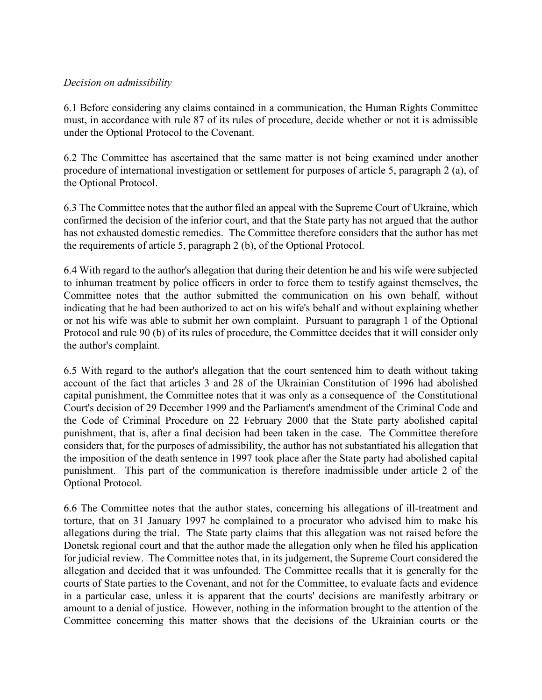### Decision on admissibility

6.1 Before considering any claims contained in a communication, the Human Rights Committee must, in accordance with rule 87 of its rules of procedure, decide whether or not it is admissible under the Optional Protocol to the Covenant.

6.2 The Committee has ascertained that the same matter is not being examined under another procedure of international investigation or settlement for purposes of article 5, paragraph 2 (a), of the Optional Protocol.

6.3 The Committee notes that the author filed an appeal with the Supreme Court of Ukraine, which confirmed the decision of the inferior court, and that the State party has not argued that the author has not exhausted domestic remedies. The Committee therefore considers that the author has met the requirements of article 5, paragraph 2 (b), of the Optional Protocol.

6.4 With regard to the author's allegation that during their detention he and his wife were subjected to inhuman treatment by police officers in order to force them to testify against themselves, the Committee notes that the author submitted the communication on his own behalf, without indicating that he had been authorized to act on his wife's behalf and without explaining whether or not his wife was able to submit her own complaint. Pursuant to paragraph 1 of the Optional Protocol and rule 90 (b) of its rules of procedure, the Committee decides that it will consider only the author's complaint.

6.5 With regard to the author's allegation that the court sentenced him to death without taking account of the fact that articles 3 and 28 of the Ukrainian Constitution of 1996 had abolished capital punishment, the Committee notes that it was only as a consequence of the Constitutional Court's decision of 29 December 1999 and the Parliament's amendment of the Criminal Code and the Code of Criminal Procedure on 22 February 2000 that the State party abolished capital punishment, that is, after a final decision had been taken in the case. The Committee therefore considers that, for the purposes of admissibility, the author has not substantiated his allegation that the imposition of the death sentence in 1997 took place after the State party had abolished capital punishment. This part of the communication is therefore inadmissible under article 2 of the Optional Protocol.

6.6 The Committee notes that the author states, concerning his allegations of ill-treatment and torture, that on 31 January 1997 he complained to a procurator who advised him to make his allegations during the trial. The State party claims that this allegation was not raised before the Donetsk regional court and that the author made the allegation only when he filed his application for judicial review. The Committee notes that, in its judgement, the Supreme Court considered the allegation and decided that it was unfounded. The Committee recalls that it is generally for the courts of State parties to the Covenant, and not for the Committee, to evaluate facts and evidence in a particular case, unless it is apparent that the courts' decisions are manifestly arbitrary or amount to a denial of justice. However, nothing in the information brought to the attention of the Committee concerning this matter shows that the decisions of the Ukrainian courts or the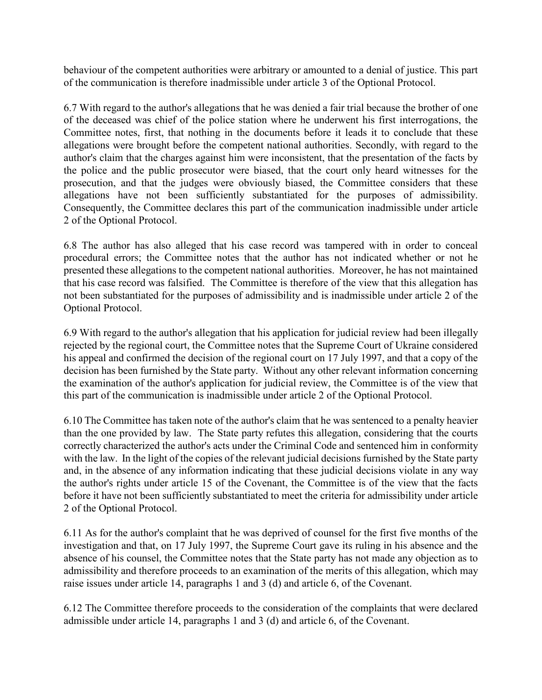behaviour of the competent authorities were arbitrary or amounted to a denial of justice. This part of the communication is therefore inadmissible under article 3 of the Optional Protocol.

6.7 With regard to the author's allegations that he was denied a fair trial because the brother of one of the deceased was chief of the police station where he underwent his first interrogations, the Committee notes, first, that nothing in the documents before it leads it to conclude that these allegations were brought before the competent national authorities. Secondly, with regard to the author's claim that the charges against him were inconsistent, that the presentation of the facts by the police and the public prosecutor were biased, that the court only heard witnesses for the prosecution, and that the judges were obviously biased, the Committee considers that these allegations have not been sufficiently substantiated for the purposes of admissibility. Consequently, the Committee declares this part of the communication inadmissible under article 2 of the Optional Protocol.

6.8 The author has also alleged that his case record was tampered with in order to conceal procedural errors; the Committee notes that the author has not indicated whether or not he presented these allegations to the competent national authorities. Moreover, he has not maintained that his case record was falsified. The Committee is therefore of the view that this allegation has not been substantiated for the purposes of admissibility and is inadmissible under article 2 of the Optional Protocol.

6.9 With regard to the author's allegation that his application for judicial review had been illegally rejected by the regional court, the Committee notes that the Supreme Court of Ukraine considered his appeal and confirmed the decision of the regional court on 17 July 1997, and that a copy of the decision has been furnished by the State party. Without any other relevant information concerning the examination of the author's application for judicial review, the Committee is of the view that this part of the communication is inadmissible under article 2 of the Optional Protocol.

6.10 The Committee has taken note of the author's claim that he was sentenced to a penalty heavier than the one provided by law. The State party refutes this allegation, considering that the courts correctly characterized the author's acts under the Criminal Code and sentenced him in conformity with the law. In the light of the copies of the relevant judicial decisions furnished by the State party and, in the absence of any information indicating that these judicial decisions violate in any way the author's rights under article 15 of the Covenant, the Committee is of the view that the facts before it have not been sufficiently substantiated to meet the criteria for admissibility under article 2 of the Optional Protocol.

6.11 As for the author's complaint that he was deprived of counsel for the first five months of the investigation and that, on 17 July 1997, the Supreme Court gave its ruling in his absence and the absence of his counsel, the Committee notes that the State party has not made any objection as to admissibility and therefore proceeds to an examination of the merits of this allegation, which may raise issues under article 14, paragraphs 1 and 3 (d) and article 6, of the Covenant.

6.12 The Committee therefore proceeds to the consideration of the complaints that were declared admissible under article 14, paragraphs 1 and 3 (d) and article 6, of the Covenant.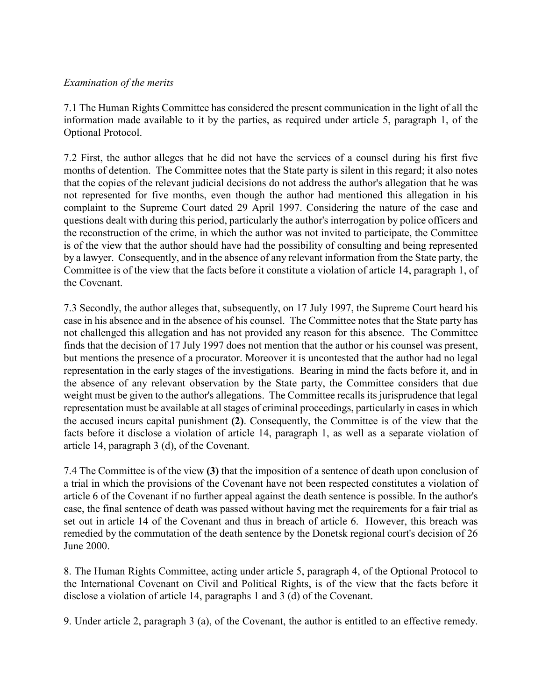### Examination of the merits

7.1 The Human Rights Committee has considered the present communication in the light of all the information made available to it by the parties, as required under article 5, paragraph 1, of the Optional Protocol.

7.2 First, the author alleges that he did not have the services of a counsel during his first five months of detention. The Committee notes that the State party is silent in this regard; it also notes that the copies of the relevant judicial decisions do not address the author's allegation that he was not represented for five months, even though the author had mentioned this allegation in his complaint to the Supreme Court dated 29 April 1997. Considering the nature of the case and questions dealt with during this period, particularly the author's interrogation by police officers and the reconstruction of the crime, in which the author was not invited to participate, the Committee is of the view that the author should have had the possibility of consulting and being represented by a lawyer. Consequently, and in the absence of any relevant information from the State party, the Committee is of the view that the facts before it constitute a violation of article 14, paragraph 1, of the Covenant.

7.3 Secondly, the author alleges that, subsequently, on 17 July 1997, the Supreme Court heard his case in his absence and in the absence of his counsel. The Committee notes that the State party has not challenged this allegation and has not provided any reason for this absence. The Committee finds that the decision of 17 July 1997 does not mention that the author or his counsel was present, but mentions the presence of a procurator. Moreover it is uncontested that the author had no legal representation in the early stages of the investigations. Bearing in mind the facts before it, and in the absence of any relevant observation by the State party, the Committee considers that due weight must be given to the author's allegations. The Committee recalls its jurisprudence that legal representation must be available at all stages of criminal proceedings, particularly in cases in which the accused incurs capital punishment (2). Consequently, the Committee is of the view that the facts before it disclose a violation of article 14, paragraph 1, as well as a separate violation of article 14, paragraph 3 (d), of the Covenant.

7.4 The Committee is of the view (3) that the imposition of a sentence of death upon conclusion of a trial in which the provisions of the Covenant have not been respected constitutes a violation of article 6 of the Covenant if no further appeal against the death sentence is possible. In the author's case, the final sentence of death was passed without having met the requirements for a fair trial as set out in article 14 of the Covenant and thus in breach of article 6. However, this breach was remedied by the commutation of the death sentence by the Donetsk regional court's decision of 26 June 2000.

8. The Human Rights Committee, acting under article 5, paragraph 4, of the Optional Protocol to the International Covenant on Civil and Political Rights, is of the view that the facts before it disclose a violation of article 14, paragraphs 1 and 3 (d) of the Covenant.

9. Under article 2, paragraph 3 (a), of the Covenant, the author is entitled to an effective remedy.